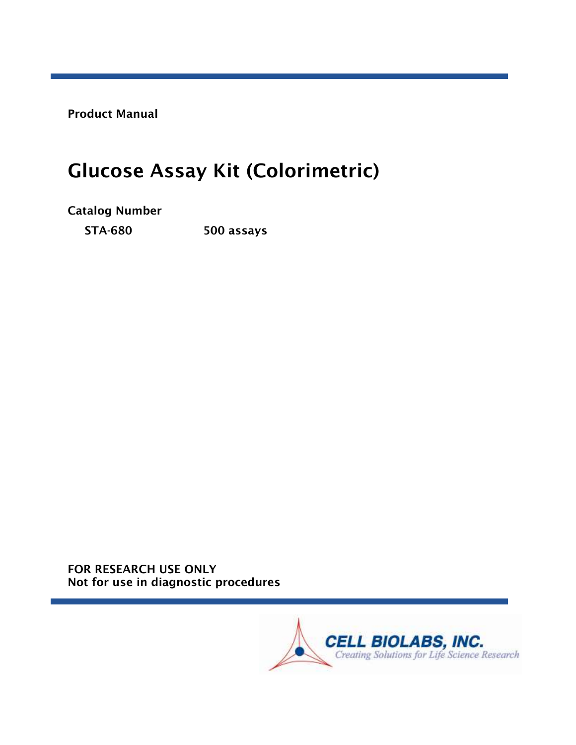Product Manual

# Glucose Assay Kit (Colorimetric)

Catalog Number

STA-680 500 assays

FOR RESEARCH USE ONLY Not for use in diagnostic procedures

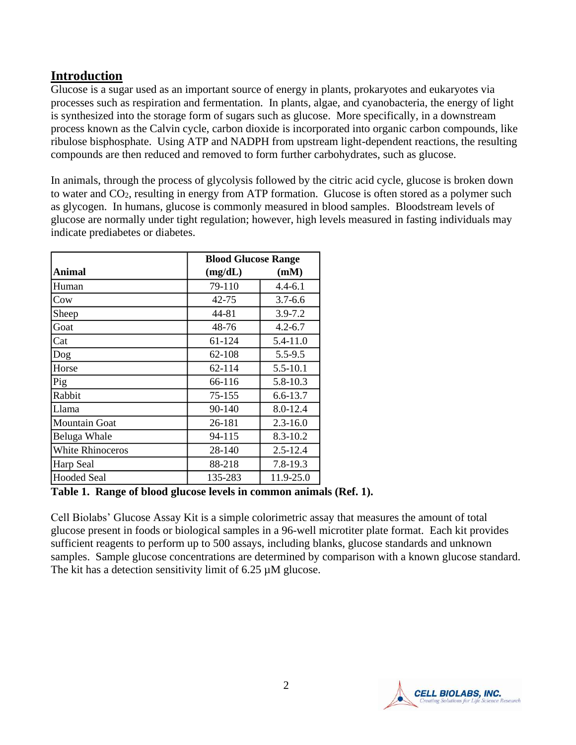## **Introduction**

Glucose is a sugar used as an important source of energy in plants, prokaryotes and eukaryotes via processes such as respiration and fermentation. In plants, algae, and cyanobacteria, the energy of light is synthesized into the storage form of sugars such as glucose. More specifically, in a downstream process known as the Calvin cycle, carbon dioxide is incorporated into organic carbon compounds, like ribulose bisphosphate. Using ATP and NADPH from upstream light-dependent reactions, the resulting compounds are then reduced and removed to form further carbohydrates, such as glucose.

In animals, through the process of glycolysis followed by the citric acid cycle, glucose is broken down to water and CO2, resulting in energy from ATP formation. Glucose is often stored as a polymer such as glycogen. In humans, glucose is commonly measured in blood samples. Bloodstream levels of glucose are normally under tight regulation; however, high levels measured in fasting individuals may indicate prediabetes or diabetes.

|                         |         | <b>Blood Glucose Range</b> |  |  |
|-------------------------|---------|----------------------------|--|--|
| Animal                  | (mg/dL) | (mM)                       |  |  |
| Human                   | 79-110  | $4.4 - 6.1$                |  |  |
| Cow                     | 42-75   | $3.7 - 6.6$                |  |  |
| Sheep                   | 44-81   | $3.9 - 7.2$                |  |  |
| Goat                    | 48-76   | $4.2 - 6.7$                |  |  |
| Cat                     | 61-124  | 5.4-11.0                   |  |  |
| Dog                     | 62-108  | $5.5 - 9.5$                |  |  |
| Horse                   | 62-114  | $5.5 - 10.1$               |  |  |
| Pig                     | 66-116  | 5.8-10.3                   |  |  |
| Rabbit                  | 75-155  | $6.6 - 13.7$               |  |  |
| Llama                   | 90-140  | 8.0-12.4                   |  |  |
| <b>Mountain Goat</b>    | 26-181  | $2.3 - 16.0$               |  |  |
| Beluga Whale            | 94-115  | $8.3 - 10.2$               |  |  |
| <b>White Rhinoceros</b> | 28-140  | $2.5 - 12.4$               |  |  |
| Harp Seal               | 88-218  | 7.8-19.3                   |  |  |
| <b>Hooded Seal</b>      | 135-283 | 11.9-25.0                  |  |  |

**Table 1. Range of blood glucose levels in common animals (Ref. 1).**

Cell Biolabs' Glucose Assay Kit is a simple colorimetric assay that measures the amount of total glucose present in foods or biological samples in a 96-well microtiter plate format. Each kit provides sufficient reagents to perform up to 500 assays, including blanks, glucose standards and unknown samples. Sample glucose concentrations are determined by comparison with a known glucose standard. The kit has a detection sensitivity limit of 6.25  $\mu$ M glucose.

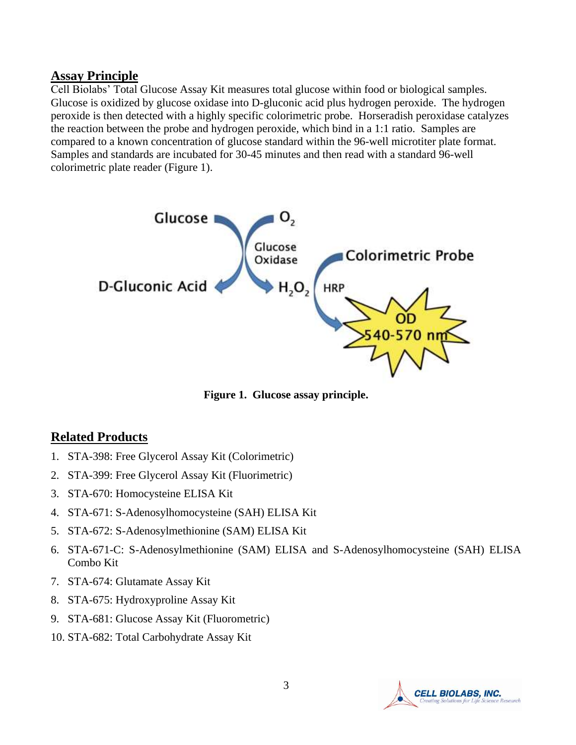#### **Assay Principle**

Cell Biolabs' Total Glucose Assay Kit measures total glucose within food or biological samples. Glucose is oxidized by glucose oxidase into D-gluconic acid plus hydrogen peroxide. The hydrogen peroxide is then detected with a highly specific colorimetric probe. Horseradish peroxidase catalyzes the reaction between the probe and hydrogen peroxide, which bind in a 1:1 ratio. Samples are compared to a known concentration of glucose standard within the 96-well microtiter plate format. Samples and standards are incubated for 30-45 minutes and then read with a standard 96-well colorimetric plate reader (Figure 1).



**Figure 1. Glucose assay principle.**

## **Related Products**

- 1. STA-398: Free Glycerol Assay Kit (Colorimetric)
- 2. STA-399: Free Glycerol Assay Kit (Fluorimetric)
- 3. STA-670: Homocysteine ELISA Kit
- 4. STA-671: S-Adenosylhomocysteine (SAH) ELISA Kit
- 5. STA-672: S-Adenosylmethionine (SAM) ELISA Kit
- 6. STA-671-C: S-Adenosylmethionine (SAM) ELISA and S-Adenosylhomocysteine (SAH) ELISA Combo Kit
- 7. STA-674: Glutamate Assay Kit
- 8. STA-675: Hydroxyproline Assay Kit
- 9. STA-681: Glucose Assay Kit (Fluorometric)
- 10. STA-682: Total Carbohydrate Assay Kit

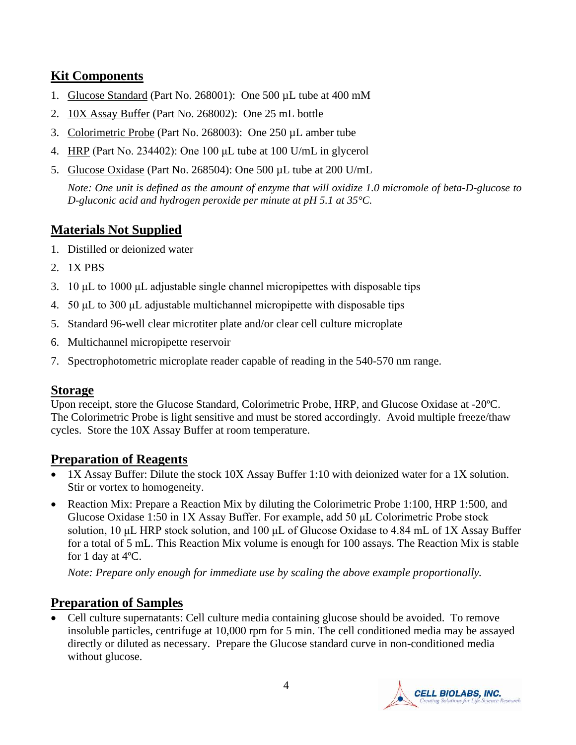# **Kit Components**

- 1. Glucose Standard (Part No. 268001): One 500 µL tube at 400 mM
- 2. 10X Assay Buffer (Part No. 268002): One 25 mL bottle
- 3. Colorimetric Probe (Part No. 268003): One 250 µL amber tube
- 4. HRP (Part No. 234402): One 100 μL tube at 100 U/mL in glycerol
- 5. Glucose Oxidase (Part No. 268504): One 500 µL tube at 200 U/mL

*Note: One unit is defined as the amount of enzyme that will oxidize 1.0 micromole of beta-D-glucose to D-gluconic acid and hydrogen peroxide per minute at pH 5.1 at 35°C.*

# **Materials Not Supplied**

- 1. Distilled or deionized water
- 2. 1X PBS
- 3. 10 μL to 1000 μL adjustable single channel micropipettes with disposable tips
- 4. 50 μL to 300 μL adjustable multichannel micropipette with disposable tips
- 5. Standard 96-well clear microtiter plate and/or clear cell culture microplate
- 6. Multichannel micropipette reservoir
- 7. Spectrophotometric microplate reader capable of reading in the 540-570 nm range.

#### **Storage**

Upon receipt, store the Glucose Standard, Colorimetric Probe, HRP, and Glucose Oxidase at -20ºC. The Colorimetric Probe is light sensitive and must be stored accordingly. Avoid multiple freeze/thaw cycles. Store the 10X Assay Buffer at room temperature.

## **Preparation of Reagents**

- 1X Assay Buffer: Dilute the stock 10X Assay Buffer 1:10 with deionized water for a 1X solution. Stir or vortex to homogeneity.
- Reaction Mix: Prepare a Reaction Mix by diluting the Colorimetric Probe 1:100, HRP 1:500, and Glucose Oxidase 1:50 in 1X Assay Buffer. For example, add 50 μL Colorimetric Probe stock solution, 10 μL HRP stock solution, and 100 μL of Glucose Oxidase to 4.84 mL of 1X Assay Buffer for a total of 5 mL. This Reaction Mix volume is enough for 100 assays. The Reaction Mix is stable for 1 day at 4ºC.

*Note: Prepare only enough for immediate use by scaling the above example proportionally.*

# **Preparation of Samples**

• Cell culture supernatants: Cell culture media containing glucose should be avoided. To remove insoluble particles, centrifuge at 10,000 rpm for 5 min. The cell conditioned media may be assayed directly or diluted as necessary. Prepare the Glucose standard curve in non-conditioned media without glucose.

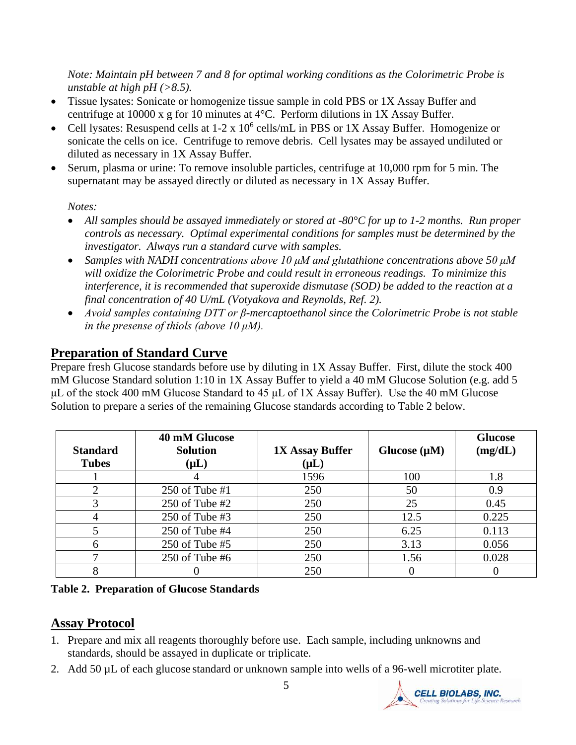*Note: Maintain pH between 7 and 8 for optimal working conditions as the Colorimetric Probe is unstable at high pH (>8.5).*

- Tissue lysates: Sonicate or homogenize tissue sample in cold PBS or 1X Assay Buffer and centrifuge at 10000 x g for 10 minutes at 4°C. Perform dilutions in 1X Assay Buffer.
- Cell lysates: Resuspend cells at  $1-2 \times 10^6$  cells/mL in PBS or 1X Assay Buffer. Homogenize or sonicate the cells on ice. Centrifuge to remove debris. Cell lysates may be assayed undiluted or diluted as necessary in 1X Assay Buffer.
- Serum, plasma or urine: To remove insoluble particles, centrifuge at 10,000 rpm for 5 min. The supernatant may be assayed directly or diluted as necessary in 1X Assay Buffer.

#### *Notes:*

- *All samples should be assayed immediately or stored at -80°C for up to 1-2 months. Run proper controls as necessary. Optimal experimental conditions for samples must be determined by the investigator. Always run a standard curve with samples.*
- *Samples with NADH concentrations above 10 μM and glutathione concentrations above 50 μM will oxidize the Colorimetric Probe and could result in erroneous readings. To minimize this interference, it is recommended that superoxide dismutase (SOD) be added to the reaction at a final concentration of 40 U/mL (Votyakova and Reynolds, Ref. 2).*
- *Avoid samples containing DTT or β-mercaptoethanol since the Colorimetric Probe is not stable in the presense of thiols (above 10 μM).*

# **Preparation of Standard Curve**

Prepare fresh Glucose standards before use by diluting in 1X Assay Buffer. First, dilute the stock 400 mM Glucose Standard solution 1:10 in 1X Assay Buffer to yield a 40 mM Glucose Solution (e.g. add 5 μL of the stock 400 mM Glucose Standard to 45 μL of 1X Assay Buffer). Use the 40 mM Glucose Solution to prepare a series of the remaining Glucose standards according to Table 2 below.

| <b>Standard</b><br><b>Tubes</b> | 40 mM Glucose<br><b>Solution</b><br>$(\mu L)$ | <b>1X Assay Buffer</b><br>$(\mu L)$ | Glucose $(\mu M)$ | <b>Glucose</b><br>(mg/dL) |
|---------------------------------|-----------------------------------------------|-------------------------------------|-------------------|---------------------------|
|                                 |                                               | 1596                                | 100               | 1.8                       |
| 2                               | 250 of Tube $#1$                              | 250                                 | 50                | 0.9                       |
| 3                               | 250 of Tube $#2$                              | 250                                 | 25                | 0.45                      |
| 4                               | 250 of Tube $#3$                              | 250                                 | 12.5              | 0.225                     |
| 5                               | 250 of Tube $#4$                              | 250                                 | 6.25              | 0.113                     |
| 6                               | $250$ of Tube #5                              | 250                                 | 3.13              | 0.056                     |
| ⇁                               | $250$ of Tube #6                              | 250                                 | 1.56              | 0.028                     |
| 8                               |                                               | 250                                 |                   |                           |

**Table 2. Preparation of Glucose Standards**

# **Assay Protocol**

- 1. Prepare and mix all reagents thoroughly before use. Each sample, including unknowns and standards, should be assayed in duplicate or triplicate.
- 2. Add 50 µL of each glucose standard or unknown sample into wells of a 96-well microtiter plate.

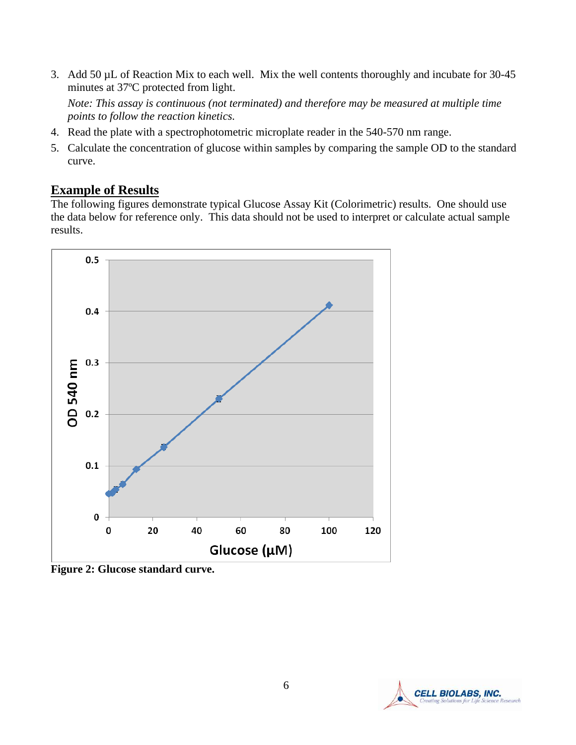3. Add 50 µL of Reaction Mix to each well. Mix the well contents thoroughly and incubate for 30-45 minutes at 37ºC protected from light.

*Note: This assay is continuous (not terminated) and therefore may be measured at multiple time points to follow the reaction kinetics.*

- 4. Read the plate with a spectrophotometric microplate reader in the 540-570 nm range.
- 5. Calculate the concentration of glucose within samples by comparing the sample OD to the standard curve.

### **Example of Results**

The following figures demonstrate typical Glucose Assay Kit (Colorimetric) results. One should use the data below for reference only. This data should not be used to interpret or calculate actual sample results.



**Figure 2: Glucose standard curve.** 

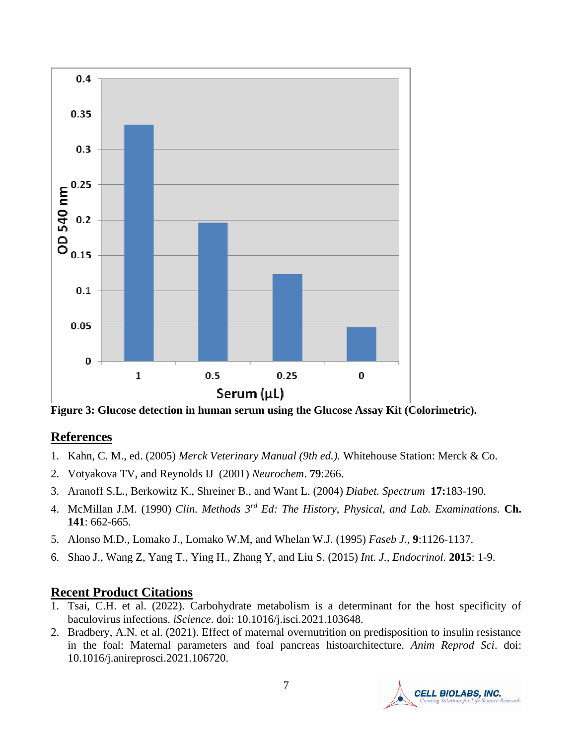

**Figure 3: Glucose detection in human serum using the Glucose Assay Kit (Colorimetric).** 

#### **References**

- 1. Kahn, C. M., ed. (2005) *Merck Veterinary Manual (9th ed.).* Whitehouse Station: Merck & Co.
- 2. Votyakova TV, and Reynolds IJ (2001) *Neurochem*. **79**:266.
- 3. Aranoff S.L., Berkowitz K., Shreiner B., and Want L. (2004) *Diabet. Spectrum* **17:**183-190.
- 4. McMillan J.M. (1990) *Clin. Methods 3rd Ed: The History, Physical, and Lab. Examinations.* **Ch. 141**: 662-665.
- 5. Alonso M.D., Lomako J., Lomako W.M, and Whelan W.J. (1995) *Faseb J.,* **9**:1126-1137.
- 6. Shao J., Wang Z, Yang T., Ying H., Zhang Y, and Liu S. (2015) *Int. J., Endocrinol.* **2015**: 1-9.

## **Recent Product Citations**

- 1. Tsai, C.H. et al. (2022). Carbohydrate metabolism is a determinant for the host specificity of baculovirus infections. *iScience*. doi: 10.1016/j.isci.2021.103648.
- 2. Bradbery, A.N. et al. (2021). Effect of maternal overnutrition on predisposition to insulin resistance in the foal: Maternal parameters and foal pancreas histoarchitecture. *Anim Reprod Sci*. doi: 10.1016/j.anireprosci.2021.106720.

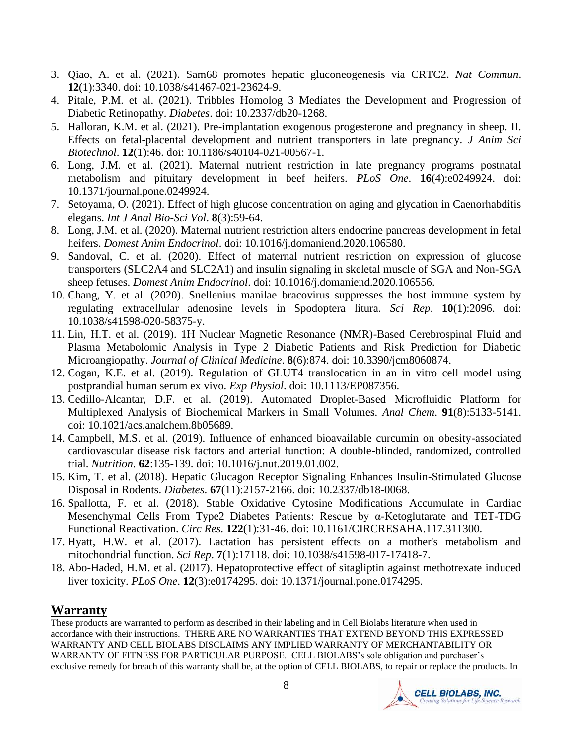- 3. Qiao, A. et al. (2021). Sam68 promotes hepatic gluconeogenesis via CRTC2. *Nat Commun*. **12**(1):3340. doi: 10.1038/s41467-021-23624-9.
- 4. Pitale, P.M. et al. (2021). Tribbles Homolog 3 Mediates the Development and Progression of Diabetic Retinopathy. *Diabetes*. doi: 10.2337/db20-1268.
- 5. Halloran, K.M. et al. (2021). Pre-implantation exogenous progesterone and pregnancy in sheep. II. Effects on fetal-placental development and nutrient transporters in late pregnancy. *J Anim Sci Biotechnol*. **12**(1):46. doi: 10.1186/s40104-021-00567-1.
- 6. Long, J.M. et al. (2021). Maternal nutrient restriction in late pregnancy programs postnatal metabolism and pituitary development in beef heifers. *PLoS One*. **16**(4):e0249924. doi: 10.1371/journal.pone.0249924.
- 7. Setoyama, O. (2021). Effect of high glucose concentration on aging and glycation in Caenorhabditis elegans. *Int J Anal Bio-Sci Vol*. **8**(3):59-64.
- 8. Long, J.M. et al. (2020). Maternal nutrient restriction alters endocrine pancreas development in fetal heifers. *Domest Anim Endocrinol*. doi: 10.1016/j.domaniend.2020.106580.
- 9. Sandoval, C. et al. (2020). Effect of maternal nutrient restriction on expression of glucose transporters (SLC2A4 and SLC2A1) and insulin signaling in skeletal muscle of SGA and Non-SGA sheep fetuses. *Domest Anim Endocrinol*. doi: 10.1016/j.domaniend.2020.106556.
- 10. Chang, Y. et al. (2020). Snellenius manilae bracovirus suppresses the host immune system by regulating extracellular adenosine levels in Spodoptera litura. *Sci Rep*. **10**(1):2096. doi: 10.1038/s41598-020-58375-y.
- 11. Lin, H.T. et al. (2019). 1H Nuclear Magnetic Resonance (NMR)-Based Cerebrospinal Fluid and Plasma Metabolomic Analysis in Type 2 Diabetic Patients and Risk Prediction for Diabetic Microangiopathy. *Journal of Clinical Medicine*. **8**(6):874. doi: 10.3390/jcm8060874.
- 12. Cogan, K.E. et al. (2019). Regulation of GLUT4 translocation in an in vitro cell model using postprandial human serum ex vivo. *Exp Physiol*. doi: 10.1113/EP087356.
- 13. Cedillo-Alcantar, D.F. et al. (2019). Automated Droplet-Based Microfluidic Platform for Multiplexed Analysis of Biochemical Markers in Small Volumes. *Anal Chem*. **91**(8):5133-5141. doi: 10.1021/acs.analchem.8b05689.
- 14. Campbell, M.S. et al. (2019). Influence of enhanced bioavailable curcumin on obesity-associated cardiovascular disease risk factors and arterial function: A double-blinded, randomized, controlled trial. *Nutrition*. **62**:135-139. doi: 10.1016/j.nut.2019.01.002.
- 15. Kim, T. et al. (2018). Hepatic Glucagon Receptor Signaling Enhances Insulin-Stimulated Glucose Disposal in Rodents. *Diabetes*. **67**(11):2157-2166. doi: 10.2337/db18-0068.
- 16. Spallotta, F. et al. (2018). Stable Oxidative Cytosine Modifications Accumulate in Cardiac Mesenchymal Cells From Type2 Diabetes Patients: Rescue by α-Ketoglutarate and TET-TDG Functional Reactivation. *Circ Res*. **122**(1):31-46. doi: 10.1161/CIRCRESAHA.117.311300.
- 17. Hyatt, H.W. et al. (2017). Lactation has persistent effects on a mother's metabolism and mitochondrial function. *Sci Rep*. **7**(1):17118. doi: 10.1038/s41598-017-17418-7.
- 18. Abo-Haded, H.M. et al. (2017). Hepatoprotective effect of sitagliptin against methotrexate induced liver toxicity. *PLoS One*. **12**(3):e0174295. doi: 10.1371/journal.pone.0174295.

## **Warranty**

These products are warranted to perform as described in their labeling and in Cell Biolabs literature when used in accordance with their instructions. THERE ARE NO WARRANTIES THAT EXTEND BEYOND THIS EXPRESSED WARRANTY AND CELL BIOLABS DISCLAIMS ANY IMPLIED WARRANTY OF MERCHANTABILITY OR WARRANTY OF FITNESS FOR PARTICULAR PURPOSE. CELL BIOLABS's sole obligation and purchaser's exclusive remedy for breach of this warranty shall be, at the option of CELL BIOLABS, to repair or replace the products. In